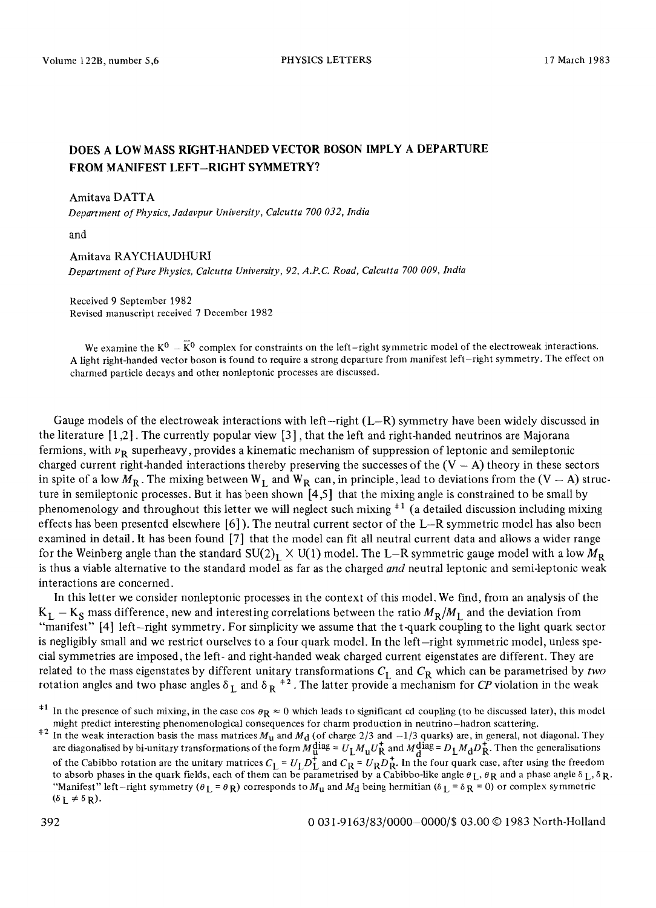# **DOES A LOW MASS RIGHT-HANDED VECTOR BOSON IMPLY A DEPARTURE FROM MANIFEST LEFT-RIGHT SYMMETRY?**

## Amitava DATTA

*Department of Physics, Jadavpur University, Calcutta 700 032, India* 

and

## Amitava RAYCHAUDHURI

*Department of Pure Physics, Calcutta University, 92, A.P.C. Road, Calcutta 700 009, India* 

Received 9 September 1982 Revised manuscript received 7 December 1982

We examine the  $K^0 - \bar{K}^0$  complex for constraints on the left-right symmetric model of the electroweak interactions. A light right-handed vector boson is found to require a strong departure from manifest left-right symmetry. The effect on charmed particle decays and other nonleptonic processes are discussed.

Gauge models of the electroweak interactions with left-right  $(L-R)$  symmetry have been widely discussed in the literature [1,2]. The currently popular view [3], that the left and right-handed neutrinos are Majorana fermions, with  $\nu_{\bf R}$  superheavy, provides a kinematic mechanism of suppression of leptonic and semileptonic charged current right-handed interactions thereby preserving the successes of the  $(V - A)$  theory in these sectors in spite of a low  $M_R$ . The mixing between  $W_I$  and  $W_R$  can, in principle, lead to deviations from the (V - A) structure in semileptonic processes. But it has been shown [4,5] that the mixing angle is constrained to be small by phenomenology and throughout this letter we will neglect such mixing +1 (a detailed discussion including mixing effects has been presented elsewhere [6]). The neutral current sector of the L-R symmetric model has also been examined in detail. It has been found [7] that the model can fit all neutral current data and allows a wider range for the Weinberg angle than the standard  $SU(2)_L \times U(1)$  model. The L-R symmetric gauge model with a low  $M_R$ is thus a viable alternative to the standard model as far as the charged *and* neutral leptonic and semi-leptonic weak interactions are concerned.

In this letter we consider nonleptonic processes in the context of this model. We find, from an analysis of the  $K_I$  -  $K_S$  mass difference, new and interesting correlations between the ratio  $M_R/M_I$  and the deviation from "manifest" [4] left-right symmetry. For simplicity we assume that the t-quark coupling to the light quark sector is negligibly small and we restrict ourselves to a four quark model. In the left-right symmetric model, unless special symmetries are imposed, the left- and right-handed weak charged current eigenstates are different. They are related to the mass eigenstates by different unitary transformations  $C_I$  and  $C_R$  which can be parametrised by two rotation angles and two phase angles  $\delta_1$  and  $\delta_R$ <sup>+2</sup>. The latter provide a mechanism for *CP* violation in the weak

<sup>&</sup>lt;sup>#1</sup> In the presence of such mixing, in the case cos  $\theta_R \approx 0$  which leads to significant cd coupling (to be discussed later), this model might predict interesting phenomenological consequences for charm production in neutrino-hadron scattering.

<sup>&</sup>lt;sup> $\pm 2$ </sup> In the weak interaction basis the mass matrices  $M_{\rm u}$  and  $M_{\rm d}$  (of charge 2/3 and  $-1/3$  quarks) are, in general, not diagonal. They are diagonalised by bi-unitary transformations of the form  $M_{\text{q}}^{\text{diag}} = U_{\text{L}} M_{\text{u}} U_{\text{R}}^{\dagger}$  and  $M_{\text{d}}^{\text{diag}} = D_{\text{L}} M_{\text{d}} D_{\text{R}}^{\dagger}$ . Then the generalisations of the Cabibbo rotation are the unitary matrices  $C_1 = U_1 D_1^+$  and  $C_R = U_R D_R^+$ . In the four quark case, after using the freedom to absorb phases in the quark fields, each of them can be parametrised by a Cabibbo-like angle  $\theta_L$ ,  $\theta_R$  and a phase angle  $\delta_L$ ,  $\delta_R$ . "Manifest" left-right symmetry  $(\theta_L = \theta_R)$  corresponds to  $M_u$  and  $M_d$  being hermitian  $(\delta_L = \delta_R = 0)$  or complex symmetric  $(\delta_L \neq \delta_R)$ .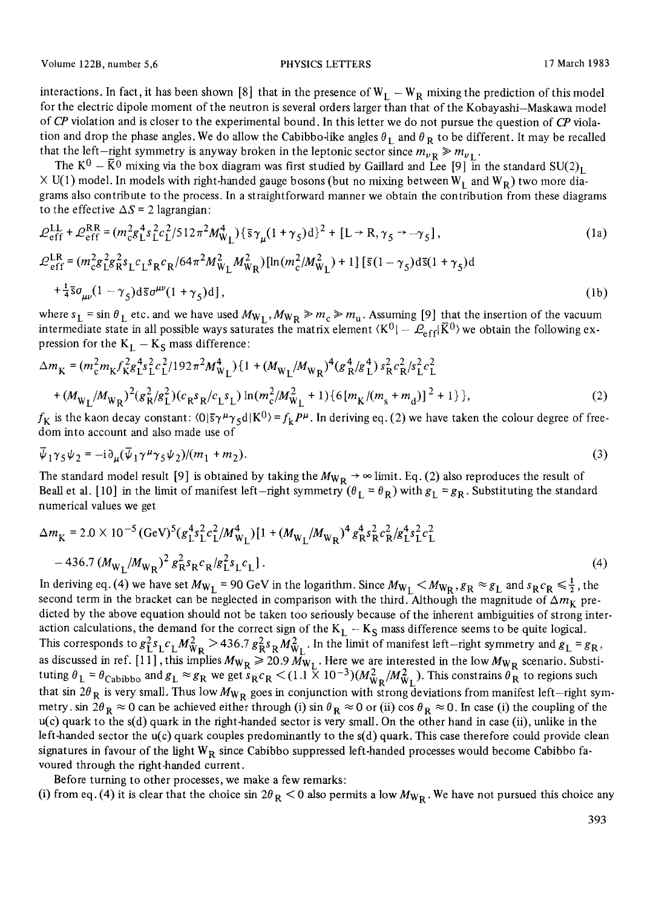Volume 122B, number 5,6 **PHYSICS LETTERS** 17 March 1983

interactions. In fact, it has been shown [8] that in the presence of  $W_L - W_R$  mixing the prediction of this model for the electric dipole moment of the neutron is several orders larger than that of the Kobayashi-Maskawa model of *CP* violation and is closer to the experimental bound. In this letter we do not pursue the question of *CP* violation and drop the phase angles. We do allow the Cabibbo-like angles  $\theta_I$  and  $\theta_R$  to be different. It may be recalled that the left-right symmetry is anyway broken in the leptonic sector since  $m_{\nu} R \gg m_{\nu}$ .

The  $K^0 - \bar{K^0}$  mixing via the box diagram was first studied by Gaillard and Lee [9] in the standard  $SU(2)_L$  $\times$  U(1) model. In models with right-handed gauge bosons (but no mixing between W<sub>L</sub> and W<sub>P</sub>) two more diagrams also contribute to the process. In a straightforward manner we obtain the contribution from these diagrams to the effective  $\Delta S = 2$  lagrangian:

$$
\mathcal{L}_{eff}^{LL} + \mathcal{L}_{eff}^{RR} = (m_{c}^{2}g_{L}^{4} s_{L}^{2} c_{L}^{2}/512\pi^{2} M_{W_{L}}^{4}) {\{\overline{s}} \gamma_{\mu} (1 + \gamma_{5}) d\}^{2} + [L \rightarrow R, \gamma_{5} \rightarrow -\gamma_{5}],
$$
\n(1a)  
\n
$$
\mathcal{L}_{eff}^{LR} = (m_{c}^{2}g_{L}^{2}g_{R}^{2} s_{L} c_{L} s_{R} c_{R}/64\pi^{2} M_{W_{L}}^{2} M_{W_{R}}^{2}) [ln(m_{c}^{2}/M_{W_{L}}^{2}) + 1] [\overline{s} (1 - \gamma_{5}) d\overline{s} (1 + \gamma_{5}) d
$$
\n
$$
+ \frac{1}{4} \overline{s} \sigma_{\mu\nu} (1 - \gamma_{5}) d\overline{s} \sigma^{\mu\nu} (1 + \gamma_{5}) d],
$$
\n(1b)

where  $s_L = \sin \theta_L$  etc. and we have used  $M_{W_L}$ ,  $M_{W_R} \gg m_c \gg m_u$ . Assuming [9] that the insertion of the vacuum intermediate state in all possible ways saturates the matrix element  $\langle K^0| - \mathcal{L}_{eff}|\vec{K}^0\rangle$  we obtain the following expression for the  $K_I - K_S$  mass difference:

$$
\Delta m_{\rm K} = (m_{\rm c}^2 m_{\rm K} f_{\rm K}^2 g_{\rm L}^4 s_{\rm L}^2 c_{\rm L}^2 / 192 \pi^2 M_{\rm W_L}^4) \{ 1 + (M_{\rm W_L}/M_{\rm W_R})^4 (g_{\rm R}^4/g_{\rm L}^4) s_{\rm R}^2 c_{\rm R}^2 / s_{\rm L}^2 c_{\rm L}^2 + (M_{\rm W_L}/M_{\rm W_R})^2 (g_{\rm R}^2/g_{\rm L}^2) (c_{\rm R} s_{\rm R}/c_{\rm L} s_{\rm L}) \ln(m_c^2/M_{\rm W_L}^2 + 1) \{ 6 \{ m_{\rm K}/(m_s + m_d) \}^2 + 1 \} \},
$$
\n(2)

 $f_K$  is the kaon decay constant:  $(0|\bar{s}\gamma^{\mu}\gamma_5 d|K^0) = f_k P^{\mu}$ . In deriving eq. (2) we have taken the colour degree of freedom into account and also made use of

$$
\overline{\psi}_1 \gamma_5 \psi_2 = -i \partial_\mu (\overline{\psi}_1 \gamma^\mu \gamma_5 \psi_2) / (m_1 + m_2). \tag{3}
$$

The standard model result [9] is obtained by taking the  $M_{WR} \rightarrow \infty$  limit. Eq. (2) also reproduces the result of Beall et al. [10] in the limit of manifest left-right symmetry  $(\theta_L = \theta_R)$  with  $g_L = g_R$ . Substituting the standard numerical values we get

$$
\Delta m_{\rm K} = 2.0 \times 10^{-5} \, (\text{GeV})^5 \left( g_{\rm L}^4 s_{\rm L}^2 c_{\rm L}^2 / M_{\rm W_L}^4 \right) \left[ 1 + \left( M_{\rm W_L} / M_{\rm W_R} \right)^4 g_{\rm R}^4 s_{\rm R}^2 c_{\rm R}^2 / g_{\rm L}^4 s_{\rm L}^2 c_{\rm L}^2 \right] - 436.7 \left( M_{\rm W_L} / M_{\rm W_R} \right)^2 g_{\rm R}^2 s_{\rm R} c_{\rm R} / g_{\rm L}^2 s_{\rm L} c_{\rm L} \, \tag{4}
$$

In deriving eq. (4) we have set  $M_{W_L}$  = 90 GeV in the logarithm. Since  $M_{W_L}$   $\lt M_{W_R}$ ,  $g_R \approx g_L$  and  $s_R c_R \le \frac{1}{2}$ , the second term in the bracket can be neglected in comparison with the third. Although the magnitude of  $\Delta m_K$  predicted by the above equation should not be taken too seriously because of the inherent ambiguities of strong interaction calculations, the demand for the correct sign of the  $K_L - K_S$  mass difference seems to be quite logical. This corresponds to  $g_L^2 s_L c_L M_{WR}^2 > 436.7 g_R^2 s_R M_{W_I}^2$ . In the limit of manifest left-right symmetry and  $g_L = g_R$ , as discussed in ref. [11], this implies  $M_{W_R} \ge 20.9 M_{W_L}$ . Here we are interested in the low  $M_{W_R}$  scenario. Substituting  $\theta_L = \theta_{\text{Cabibbb}}$  and  $g_L \approx g_R$  we get  $s_R c_R < (1.1 \times 10^{-3})(M_{W_R}^2/M_{W_L}^2)$ . This constrains  $\theta_R$  to regions such that sin 2 $\theta_R$  is very small. Thus low  $M_{W_R}$  goes in conjunction with strong deviations from manifest left-right symmetry, sin 2 $\theta_R \approx 0$  can be achieved either through (i) sin  $\theta_R \approx 0$  or (ii) cos  $\theta_R \approx 0$ . In case (i) the coupling of the  $u(c)$  quark to the s(d) quark in the right-handed sector is very small. On the other hand in case (ii), unlike in the left-handed sector the u(c) quark couples predominantly to the s(d) quark. This case therefore could provide clean signatures in favour of the light  $W_R$  since Cabibbo suppressed left-handed processes would become Cabibbo favoured through the right-handed current.

Before turning to other processes, we make a few remarks:

(i) from eq. (4) it is clear that the choice sin  $2\theta_R < 0$  also permits a low  $M_{W_R}$ . We have not pursued this choice any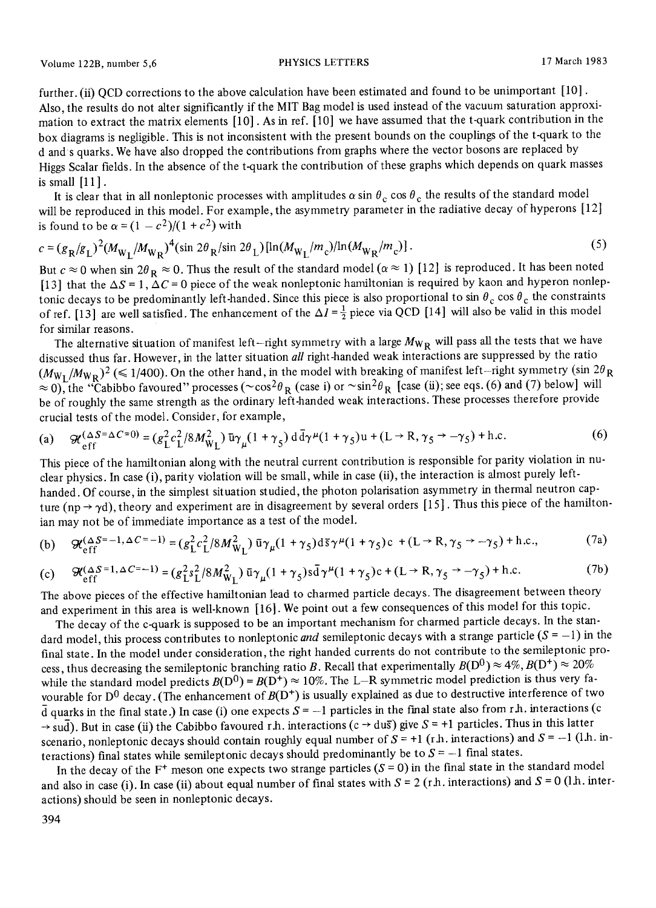further. (ii) OCD corrections to the above calculation have been estimated and found to be unimportant [10]. Also, the results do not alter significantly if the MIT Bag model is used instead of the vacuum saturation approximation to extract the matrix elements [10]. As in ref. [10] we have assumed that the t-quark contribution in the box diagrams is negligible. This is not inconsistent with the present bounds on the couplings of the t-quark to the d and s quarks. We have also dropped the contributions from graphs where the vector bosons are replaced by Higgs Scalar fields. In the absence of the t-quark the contribution of these graphs which depends on quark masses is small  $[11]$ .

It is clear that in all nonleptonic processes with amplitudes  $\alpha$  sin  $\theta_c$  cos  $\theta_c$  the results of the standard model will be reproduced in this model. For example, the asymmetry parameter in the radiative decay of hyperons [12] is found to be  $\alpha = (1 - c^2)/(1 + c^2)$  with

$$
c = (g_R / g_L)^2 (M_{W_L} / M_{W_R})^4 (\sin 2\theta_R / \sin 2\theta_L) [\ln (M_{W_L} / m_c) / \ln (M_{W_R} / m_c)].
$$
\n(5)

But  $c \approx 0$  when sin  $2\theta_R \approx 0$ . Thus the result of the standard model ( $\alpha \approx 1$ ) [12] is reproduced. It has been noted [13] that the  $\Delta S = 1$ ,  $\Delta C = 0$  piece of the weak nonleptonic hamiltonian is required by kaon and hyperon nonleptonic decays to be predominantly left-handed. Since this piece is also proportional to sin  $\theta_c$  cos  $\theta_c$  the constraints of ref. [13] are well satisfied. The enhancement of the  $\Delta I = \frac{1}{2}$  piece via QCD [14] will also be valid in this model for similar reasons.

The alternative situation of manifest left-right symmetry with a large  $M_{WR}$  will pass all the tests that we have discussed thus far. However, in the latter situation *all* right-handed weak interactions are suppressed by the ratio  $(M_{W_I}/M_{W_R})^2 \ll 1/400$ ). On the other hand, in the model with breaking of manifest left-right symmetry (sin  $2\theta_R$ )  $\approx 0$ ), the "Cabibbo favoured" processes ( $\sim \cos^2 \theta_R$  (case i) or  $\sim \sin^2 \theta_R$  [case (ii); see eqs. (6) and (7) below] will be of roughly the same strength as the ordinary left-handed weak interactions. These processes therefore provide crucial tests of the model. Consider, for example,

(a) 
$$
\mathcal{H}_{\text{eff}}^{(\Delta S = \Delta C = 0)} = (g_L^2 c_L^2 / 8M_{\text{W}_L}^2) \bar{u}\gamma_\mu (1 + \gamma_5) d\bar{d}\gamma^\mu (1 + \gamma_5) u + (L \rightarrow R, \gamma_5 \rightarrow -\gamma_5) + \text{h.c.}
$$
 (6)

This piece of the hamiltonian along with the neutral current contribution is responsible for parity violation in nuclear physics. In case (i), parity violation will be small, while in case (ii), the interaction is almost purely lefthanded. Of course, in the simplest situation studied, the photon polarisation asymmetry in thermal neutron capture (np  $\rightarrow \gamma d$ ), theory and experiment are in disagreement by several orders [15]. Thus this piece of the hamiltonian may not be of immediate importance as a test of the model.

(b) 
$$
\mathcal{H}_{eff}^{(\Delta S=-1,\Delta C=-1)} = (g_L^2 c_L^2 / 8M_{W_L}^2) \bar{u}\gamma_\mu (1+\gamma_5) d\bar{s}\gamma^\mu (1+\gamma_5)c + (L \rightarrow R, \gamma_5 \rightarrow -\gamma_5) + h.c.,
$$
 (7a)

(c) 
$$
\mathcal{H}^{(\Delta S=1, \Delta C=-1)}_{eff} = (g_{L}^{2} s_{L}^{2} / 8M_{W_{L}}^{2}) \bar{u} \gamma_{\mu} (1 + \gamma_{5}) s \bar{d} \gamma^{\mu} (1 + \gamma_{5}) c + (L \rightarrow R, \gamma_{5} \rightarrow -\gamma_{5}) + \text{h.c.}
$$
 (7b)

The above pieces of the effective hamiltonian lead to charmed particle decays. The disagreement between theory and experiment in this area is well-known [16]. We point out a few consequences of this model for this topic.

The decay of the c-quark is supposed to be an important mechanism for charmed particle decays. In the standard model, this process contributes to nonleptonic *and* semileptonic decays with a strange particle  $(S = -1)$  in the final state. In the model under consideration, the right handed currents do not contribute to the semileptonic process, thus decreasing the semileptonic branching ratio B. Recall that experimentally  $B(D^0) \approx 4\%, B(D^+) \approx 20\%$ while the standard model predicts  $B(D^0) = B(D^+) \approx 10\%$ . The L-R symmetric model prediction is thus very favourable for  $D^0$  decay. (The enhancement of  $B(D^+)$  is usually explained as due to destructive interference of two  $\overline{d}$  quarks in the final state.) In case (i) one expects  $S = -1$  particles in the final state also from r.h. interactions (c  $\rightarrow$  sud). But in case (ii) the Cabibbo favoured r.h. interactions (c  $\rightarrow$  dus) give S = +1 particles. Thus in this latter scenario, nonleptonic decays should contain roughly equal number of  $S = +1$  (r.h. interactions) and  $S = -1$  (1.h. interactions) final states while semileptonic decays should predominantly be to  $S = -1$  final states.

In the decay of the  $F^+$  meson one expects two strange particles ( $S = 0$ ) in the final state in the standard model and also in case (i). In case (ii) about equal number of final states with  $S = 2$  (r.h. interactions) and  $S = 0$  (1.h. interactions) should be seen in nonleptonic decays.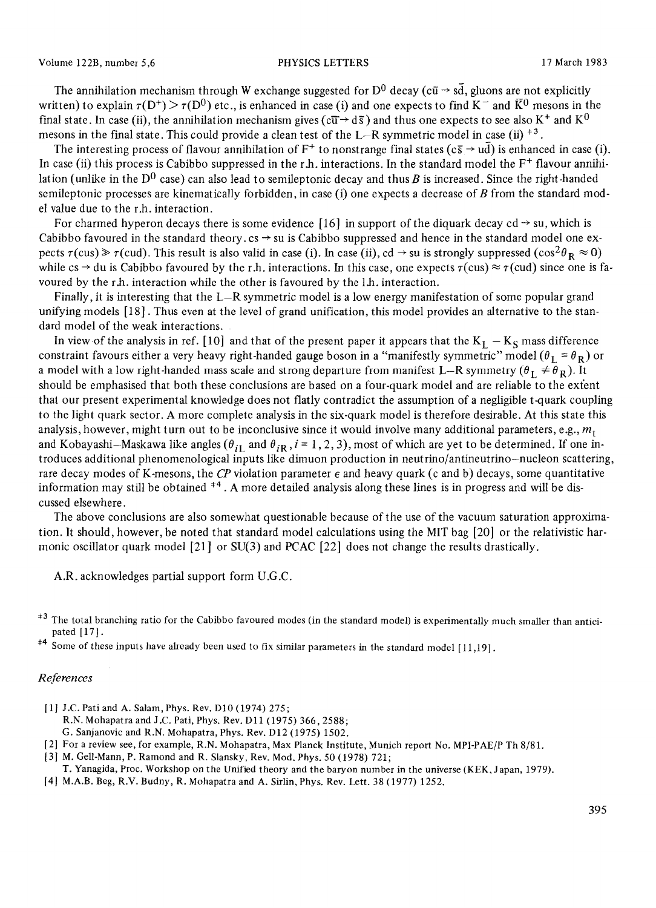The annihilation mechanism through W exchange suggested for  $D^0$  decay (c $\bar{u} \rightarrow s\bar{d}$ , gluons are not explicitly written) to explain  $\tau(D^+) > \tau(D^0)$  etc., is enhanced in case (i) and one expects to find K<sup>-</sup> and  $\bar{K}^0$  mesons in the final state. In case (ii), the annihilation mechanism gives ( $c\overline{u} \rightarrow d\overline{s}$ ) and thus one expects to see also K<sup>+</sup> and K<sup>0</sup> mesons in the final state. This could provide a clean test of the L-R symmetric model in case (ii)  $*^3$ .

The interesting process of flavour annihilation of  $F^+$  to nonstrange final states ( $c\bar{s} \to u\bar{d}$ ) is enhanced in case (i). In case (ii) this process is Cabibbo suppressed in the r.h. interactions. In the standard model the  $F^+$  flavour annihilation (unlike in the  $D^0$  case) can also lead to semileptonic decay and thus B is increased. Since the right-handed semileptonic processes are kinematically forbidden, in case  $(i)$  one expects a decrease of B from the standard model value due to the r.h. interaction.

For charmed hyperon decays there is some evidence [16] in support of the diquark decay cd  $\rightarrow$  su, which is Cabibbo favoured in the standard theory.  $cs \rightarrow su$  is Cabibbo suppressed and hence in the standard model one expects  $\tau(cus) \ge \tau(cud)$ . This result is also valid in case (i). In case (ii), cd  $\rightarrow$  su is strongly suppressed (cos<sup>2</sup> $\theta_{\rm R} \approx 0$ ) while cs  $\rightarrow$  du is Cabibbo favoured by the r.h. interactions. In this case, one expects  $\tau(cus) \approx \tau(cud)$  since one is favoured by the r.h. interaction while the other is favoured by the 1.h. interaction.

Finally, it is interesting that the L-R symmetric model is a low energy manifestation of some popular grand unifying models [18]. Thus even at the level of grand unification, this model provides an alternative to the standard model of the weak interactions.

In view of the analysis in ref. [10] and that of the present paper it appears that the  $K_I - K_S$  mass difference constraint favours either a very heavy right-handed gauge boson in a "manifestly symmetric" model ( $\theta_L = \theta_R$ ) or a model with a low right-handed mass scale and strong departure from manifest L-R symmetry  $(\theta_L \neq \theta_R)$ . It should be emphasised that both these conclusions are based on a four-quark model and are reliable to the extent that our present experimental knowledge does not flatly contradict the assumption of a negligible t-quark coupling to the light quark sector. A more complete analysis in the six-quark model is therefore desirable. At this state this analysis, however, might turn out to be inconclusive since it would involve many additional parameters, e.g.,  $m_t$ and Kobayashi-Maskawa like angles  $(\theta_{iI}$  and  $\theta_{iR}$ ,  $i = 1, 2, 3$ ), most of which are yet to be determined. If one introduces additional phenomenological inputs like dimuon production in neutrino/antineutrino-nucleon scattering, rare decay modes of K-mesons, the  $\emph{CP}$  violation parameter  $\epsilon$  and heavy quark (c and b) decays, some quantitative information may still be obtained  $*4$ . A more detailed analysis along these lines is in progress and will be discussed elsewhere.

The above conclusions are also somewhat questionable because of the use of the vacuum saturation approximation. It should, however, be noted that standard model calculations using the MIT bag [20] or the relativistic harmonic oscillator quark model [21] or SU(3) and PCAC [22] does not change the results drastically.

A.R. acknowledges partial support form U.G.C.

### *References*

- [1] J.C. Pati and A. Salam, Phys. Rev. D10 (1974) 275;
	- R.N. Mohapatra and J.C. Pati, Phys. Rev. D11 (1975) 366, 2588;
	- G. Sanjanovic and R.N. Mohapatra, Phys. Rev. D12 (1975) 1502.
- [2] For a review see, for example, R.N. M ohapatra, Max Planck Institute, Munich report No. MPI-PAE/P Th 8/81.
- [3] M. Gell-Mann, P. Ramond and R. Slansky, Rev. Mod. Phys. 50 (1978) 721;
- T. Yanagida, Proc. Workshop on the Unified theory and the baryon number in the universe (KEK, Japan, 1979).

<sup>&</sup>lt;sup>+3</sup> The total branching ratio for the Cabibbo favoured modes (in the standard model) is experimentally much smaller than anticipated [17].

<sup>&</sup>lt;sup>#4</sup> Some of these inputs have already been used to fix similar parameters in the standard model [11,19].

<sup>[4]</sup> M.A.B. Beg, R.V. Budny, R. Mohapatra and A. Sirlin, Phys. Rev. Lett. 38 (1977) 1252.